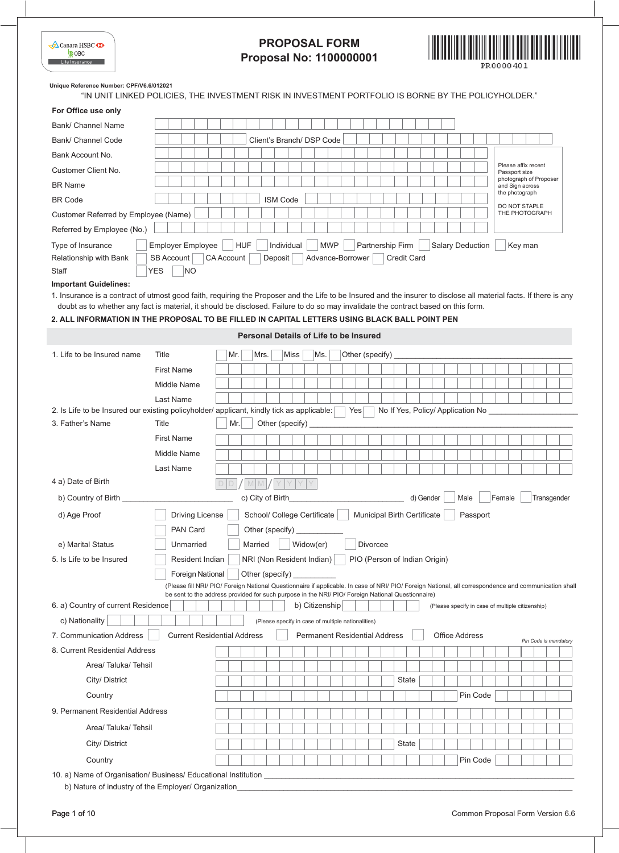| $\triangle$ Canara HSBC $\bullet$ |
|-----------------------------------|
| <b>COBC</b>                       |
| Life Insurance                    |



**Unique Reference Number: CPF/V6.6/012021**

"IN UNIT LINKED POLICIES, THE INVESTMENT RISK IN INVESTMENT PORTFOLIO IS BORNE BY THE POLICYHOLDER."

| For Office use only                                                                                                                                                                                                                 |                          |                                                                                                                                                                                   |                   |     |                                               |                 |         |                 |                                                    |     |            |                                    |          |                                     |           |                       |          |          |                                      |        |  |                 |                                                  |                       |  |
|-------------------------------------------------------------------------------------------------------------------------------------------------------------------------------------------------------------------------------------|--------------------------|-----------------------------------------------------------------------------------------------------------------------------------------------------------------------------------|-------------------|-----|-----------------------------------------------|-----------------|---------|-----------------|----------------------------------------------------|-----|------------|------------------------------------|----------|-------------------------------------|-----------|-----------------------|----------|----------|--------------------------------------|--------|--|-----------------|--------------------------------------------------|-----------------------|--|
| Bank/ Channel Name                                                                                                                                                                                                                  |                          |                                                                                                                                                                                   |                   |     |                                               |                 |         |                 |                                                    |     |            |                                    |          |                                     |           |                       |          |          |                                      |        |  |                 |                                                  |                       |  |
| Bank/ Channel Code                                                                                                                                                                                                                  |                          |                                                                                                                                                                                   |                   |     |                                               |                 |         |                 | Client's Branch/ DSP Code                          |     |            |                                    |          |                                     |           |                       |          |          |                                      |        |  |                 |                                                  |                       |  |
| Bank Account No.                                                                                                                                                                                                                    |                          |                                                                                                                                                                                   |                   |     |                                               |                 |         |                 |                                                    |     |            |                                    |          |                                     |           |                       |          |          |                                      |        |  |                 |                                                  |                       |  |
| Customer Client No.                                                                                                                                                                                                                 |                          |                                                                                                                                                                                   |                   |     |                                               |                 |         |                 |                                                    |     |            |                                    |          |                                     |           |                       |          |          | Please affix recent<br>Passport size |        |  |                 |                                                  |                       |  |
| <b>BR Name</b>                                                                                                                                                                                                                      |                          |                                                                                                                                                                                   |                   |     |                                               |                 |         |                 |                                                    |     |            |                                    |          |                                     |           |                       |          |          |                                      |        |  | and Sign across | photograph of Proposer                           |                       |  |
| <b>BR Code</b>                                                                                                                                                                                                                      |                          |                                                                                                                                                                                   |                   |     |                                               |                 |         | <b>ISM Code</b> |                                                    |     |            |                                    |          |                                     |           |                       |          |          |                                      |        |  | the photograph  |                                                  |                       |  |
| Customer Referred by Employee (Name)                                                                                                                                                                                                |                          |                                                                                                                                                                                   |                   |     |                                               |                 |         |                 |                                                    |     |            |                                    |          |                                     |           |                       |          |          |                                      |        |  | DO NOT STAPLE   | THE PHOTOGRAPH                                   |                       |  |
| Referred by Employee (No.)                                                                                                                                                                                                          |                          |                                                                                                                                                                                   |                   |     |                                               |                 |         |                 |                                                    |     |            |                                    |          |                                     |           |                       |          |          |                                      |        |  |                 |                                                  |                       |  |
| Type of Insurance                                                                                                                                                                                                                   | Employer Employee        |                                                                                                                                                                                   |                   |     | <b>HUF</b>                                    |                 |         | Individual      |                                                    |     | <b>MWP</b> |                                    |          | Partnership Firm                    |           | Salary Deduction      |          |          |                                      |        |  | Key man         |                                                  |                       |  |
| Relationship with Bank<br>Staff                                                                                                                                                                                                     | SB Account<br><b>YES</b> | NO                                                                                                                                                                                | <b>CA Account</b> |     |                                               |                 | Deposit |                 |                                                    |     |            | Advance-Borrower                   |          | <b>Credit Card</b>                  |           |                       |          |          |                                      |        |  |                 |                                                  |                       |  |
| <b>Important Guidelines:</b>                                                                                                                                                                                                        |                          |                                                                                                                                                                                   |                   |     |                                               |                 |         |                 |                                                    |     |            |                                    |          |                                     |           |                       |          |          |                                      |        |  |                 |                                                  |                       |  |
| 1. Insurance is a contract of utmost good faith, requiring the Proposer and the Life to be Insured and the insurer to disclose all material facts. If there is any                                                                  |                          |                                                                                                                                                                                   |                   |     |                                               |                 |         |                 |                                                    |     |            |                                    |          |                                     |           |                       |          |          |                                      |        |  |                 |                                                  |                       |  |
| doubt as to whether any fact is material, it should be disclosed. Failure to do so may invalidate the contract based on this form.<br>2. ALL INFORMATION IN THE PROPOSAL TO BE FILLED IN CAPITAL LETTERS USING BLACK BALL POINT PEN |                          |                                                                                                                                                                                   |                   |     |                                               |                 |         |                 |                                                    |     |            |                                    |          |                                     |           |                       |          |          |                                      |        |  |                 |                                                  |                       |  |
|                                                                                                                                                                                                                                     |                          |                                                                                                                                                                                   |                   |     |                                               |                 |         |                 |                                                    |     |            |                                    |          |                                     |           |                       |          |          |                                      |        |  |                 |                                                  |                       |  |
|                                                                                                                                                                                                                                     |                          |                                                                                                                                                                                   |                   |     | <b>Personal Details of Life to be Insured</b> |                 |         |                 |                                                    |     |            |                                    |          |                                     |           |                       |          |          |                                      |        |  |                 |                                                  |                       |  |
| 1. Life to be Insured name                                                                                                                                                                                                          | Title                    |                                                                                                                                                                                   |                   | Mr. |                                               | Mrs.            |         | <b>Miss</b>     |                                                    | Ms. |            | Other (specify)                    |          |                                     |           |                       |          |          |                                      |        |  |                 |                                                  |                       |  |
|                                                                                                                                                                                                                                     | <b>First Name</b>        |                                                                                                                                                                                   |                   |     |                                               |                 |         |                 |                                                    |     |            |                                    |          |                                     |           |                       |          |          |                                      |        |  |                 |                                                  |                       |  |
|                                                                                                                                                                                                                                     | Middle Name              |                                                                                                                                                                                   |                   |     |                                               |                 |         |                 |                                                    |     |            |                                    |          |                                     |           |                       |          |          |                                      |        |  |                 |                                                  |                       |  |
|                                                                                                                                                                                                                                     | Last Name                |                                                                                                                                                                                   |                   |     |                                               |                 |         |                 |                                                    |     |            |                                    |          |                                     |           |                       |          |          |                                      |        |  |                 |                                                  |                       |  |
| 2. Is Life to be Insured our existing policyholder/ applicant, kindly tick as applicable:<br>3. Father's Name                                                                                                                       | Title                    |                                                                                                                                                                                   |                   | Mr. |                                               | Other (specify) |         |                 |                                                    |     |            | Yes                                |          | No If Yes, Policy/ Application No _ |           |                       |          |          |                                      |        |  |                 |                                                  |                       |  |
|                                                                                                                                                                                                                                     | <b>First Name</b>        |                                                                                                                                                                                   |                   |     |                                               |                 |         |                 |                                                    |     |            |                                    |          |                                     |           |                       |          |          |                                      |        |  |                 |                                                  |                       |  |
|                                                                                                                                                                                                                                     | Middle Name              |                                                                                                                                                                                   |                   |     |                                               |                 |         |                 |                                                    |     |            |                                    |          |                                     |           |                       |          |          |                                      |        |  |                 |                                                  |                       |  |
|                                                                                                                                                                                                                                     | Last Name                |                                                                                                                                                                                   |                   |     |                                               |                 |         |                 |                                                    |     |            |                                    |          |                                     |           |                       |          |          |                                      |        |  |                 |                                                  |                       |  |
| 4 a) Date of Birth                                                                                                                                                                                                                  |                          |                                                                                                                                                                                   |                   |     |                                               |                 |         |                 |                                                    |     |            |                                    |          |                                     |           |                       |          |          |                                      |        |  |                 |                                                  |                       |  |
| b) Country of Birth                                                                                                                                                                                                                 |                          |                                                                                                                                                                                   |                   |     | c) City of Birth                              | M.              |         |                 |                                                    |     |            |                                    |          |                                     | d) Gender |                       | Male     |          |                                      | Female |  |                 |                                                  | Transgender           |  |
|                                                                                                                                                                                                                                     |                          |                                                                                                                                                                                   |                   |     |                                               |                 |         |                 |                                                    |     |            |                                    |          |                                     |           |                       |          |          |                                      |        |  |                 |                                                  |                       |  |
| d) Age Proof                                                                                                                                                                                                                        |                          | Driving License                                                                                                                                                                   |                   |     |                                               |                 |         |                 | School/ College Certificate                        |     |            | <b>Municipal Birth Certificate</b> |          |                                     |           |                       | Passport |          |                                      |        |  |                 |                                                  |                       |  |
|                                                                                                                                                                                                                                     |                          | PAN Card                                                                                                                                                                          |                   |     |                                               | Other (specify) |         |                 |                                                    |     |            |                                    |          |                                     |           |                       |          |          |                                      |        |  |                 |                                                  |                       |  |
| e) Marital Status                                                                                                                                                                                                                   |                          | Unmarried                                                                                                                                                                         |                   |     | Married                                       |                 |         |                 | Widow(er)                                          |     |            |                                    | Divorcee |                                     |           |                       |          |          |                                      |        |  |                 |                                                  |                       |  |
| 5. Is Life to be Insured                                                                                                                                                                                                            |                          | Resident Indian                                                                                                                                                                   |                   |     | NRI (Non Resident Indian)                     |                 |         |                 |                                                    |     |            | PIO (Person of Indian Origin)      |          |                                     |           |                       |          |          |                                      |        |  |                 |                                                  |                       |  |
|                                                                                                                                                                                                                                     |                          | <b>Foreign National</b><br>(Please fill NRI/ PIO/ Foreign National Questionnaire if applicable. In case of NRI/ PIO/ Foreign National, all correspondence and communication shall |                   |     | Other (specify) $\overline{\phantom{a}}$      |                 |         |                 |                                                    |     |            |                                    |          |                                     |           |                       |          |          |                                      |        |  |                 |                                                  |                       |  |
|                                                                                                                                                                                                                                     |                          | be sent to the address provided for such purpose in the NRI/ PIO/ Foreign National Questionnaire)                                                                                 |                   |     |                                               |                 |         |                 |                                                    |     |            |                                    |          |                                     |           |                       |          |          |                                      |        |  |                 |                                                  |                       |  |
| 6. a) Country of current Residence                                                                                                                                                                                                  |                          |                                                                                                                                                                                   |                   |     |                                               |                 |         |                 | b) Citizenship                                     |     |            |                                    |          |                                     |           |                       |          |          |                                      |        |  |                 | (Please specify in case of multiple citizenship) |                       |  |
| c) Nationality                                                                                                                                                                                                                      |                          |                                                                                                                                                                                   |                   |     |                                               |                 |         |                 | (Please specify in case of multiple nationalities) |     |            |                                    |          |                                     |           |                       |          |          |                                      |        |  |                 |                                                  |                       |  |
| 7. Communication Address                                                                                                                                                                                                            |                          | <b>Current Residential Address</b>                                                                                                                                                |                   |     |                                               |                 |         |                 | <b>Permanent Residential Address</b>               |     |            |                                    |          |                                     |           | <b>Office Address</b> |          |          |                                      |        |  |                 |                                                  | Pin Code is mandatory |  |
| 8. Current Residential Address                                                                                                                                                                                                      |                          |                                                                                                                                                                                   |                   |     |                                               |                 |         |                 |                                                    |     |            |                                    |          |                                     |           |                       |          |          |                                      |        |  |                 |                                                  |                       |  |
| Area/Taluka/Tehsil                                                                                                                                                                                                                  |                          |                                                                                                                                                                                   |                   |     |                                               |                 |         |                 |                                                    |     |            |                                    |          |                                     |           |                       |          |          |                                      |        |  |                 |                                                  |                       |  |
| City/ District                                                                                                                                                                                                                      |                          |                                                                                                                                                                                   |                   |     |                                               |                 |         |                 |                                                    |     |            |                                    |          | State                               |           |                       |          |          |                                      |        |  |                 |                                                  |                       |  |
| Country                                                                                                                                                                                                                             |                          |                                                                                                                                                                                   |                   |     |                                               |                 |         |                 |                                                    |     |            |                                    |          |                                     |           |                       |          | Pin Code |                                      |        |  |                 |                                                  |                       |  |
| 9. Permanent Residential Address                                                                                                                                                                                                    |                          |                                                                                                                                                                                   |                   |     |                                               |                 |         |                 |                                                    |     |            |                                    |          |                                     |           |                       |          |          |                                      |        |  |                 |                                                  |                       |  |
| Area/Taluka/Tehsil                                                                                                                                                                                                                  |                          |                                                                                                                                                                                   |                   |     |                                               |                 |         |                 |                                                    |     |            |                                    |          |                                     |           |                       |          |          |                                      |        |  |                 |                                                  |                       |  |
| City/ District                                                                                                                                                                                                                      |                          |                                                                                                                                                                                   |                   |     |                                               |                 |         |                 |                                                    |     |            |                                    |          | State                               |           |                       |          |          |                                      |        |  |                 |                                                  |                       |  |
| Country                                                                                                                                                                                                                             |                          |                                                                                                                                                                                   |                   |     |                                               |                 |         |                 |                                                    |     |            |                                    |          |                                     |           |                       | Pin Code |          |                                      |        |  |                 |                                                  |                       |  |
| 10. a) Name of Organisation/ Business/ Educational Institution<br>b) Nature of industry of the Employer/ Organization                                                                                                               |                          |                                                                                                                                                                                   |                   |     |                                               |                 |         |                 |                                                    |     |            |                                    |          |                                     |           |                       |          |          |                                      |        |  |                 |                                                  |                       |  |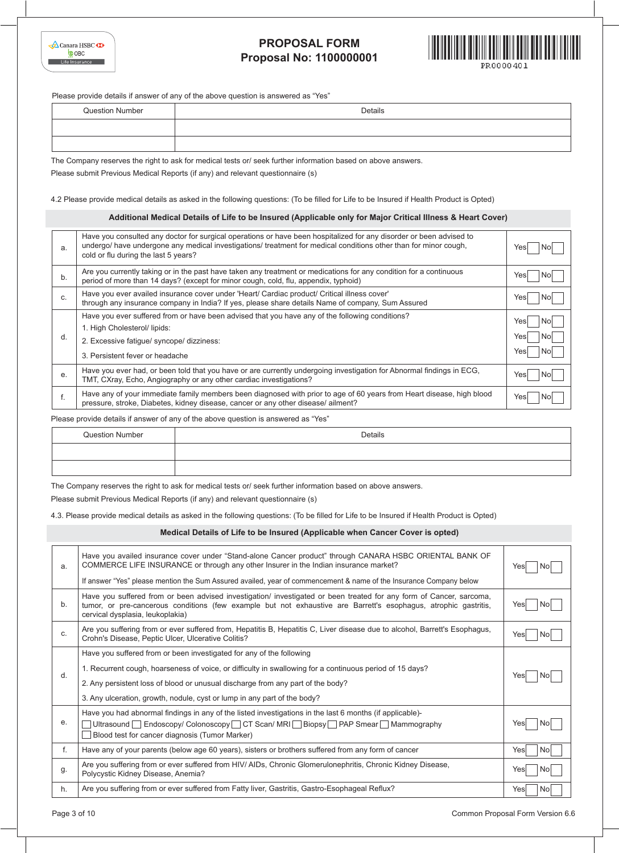

Please provide details if answer of any of the above question is answered as "Yes"

| <b>Question Number</b> | Details |
|------------------------|---------|
|                        |         |
|                        |         |

The Company reserves the right to ask for medical tests or/ seek further information based on above answers. Please submit Previous Medical Reports (if any) and relevant questionnaire (s)

4.2 Please provide medical details as asked in the following questions: (To be filled for Life to be Insured if Health Product is Opted)

### **Additional Medical Details of Life to be Insured (Applicable only for Major Critical Illness & Heart Cover)**

| a. | Have you consulted any doctor for surgical operations or have been hospitalized for any disorder or been advised to<br>undergo/ have undergone any medical investigations/ treatment for medical conditions other than for minor cough,<br>cold or flu during the last 5 years? | Yesl                               |
|----|---------------------------------------------------------------------------------------------------------------------------------------------------------------------------------------------------------------------------------------------------------------------------------|------------------------------------|
| b. | Are you currently taking or in the past have taken any treatment or medications for any condition for a continuous<br>period of more than 14 days? (except for minor cough, cold, flu, appendix, typhoid)                                                                       | Yesl<br>Nol                        |
| C. | Have you ever availed insurance cover under 'Heart/ Cardiac product/ Critical illness cover'<br>through any insurance company in India? If yes, please share details Name of company, Sum Assured                                                                               | Yesl<br>Nol                        |
| d. | Have you ever suffered from or have been advised that you have any of the following conditions?<br>1. High Cholesterol/ lipids:<br>2. Excessive fatigue/ syncope/ dizziness:<br>3. Persistent fever or headache                                                                 | Yesl<br>Nol<br>Yesl<br>Nol<br>Yesl |
| е. | Have you ever had, or been told that you have or are currently undergoing investigation for Abnormal findings in ECG,<br>TMT, CXray, Echo, Angiography or any other cardiac investigations?                                                                                     | Yesl<br>No.                        |
|    | Have any of your immediate family members been diagnosed with prior to age of 60 years from Heart disease, high blood<br>pressure, stroke, Diabetes, kidney disease, cancer or any other disease/ailment?                                                                       | Yesl                               |

Please provide details if answer of any of the above question is answered as "Yes"

| <b>Question Number</b> | Details |
|------------------------|---------|
|                        |         |
|                        |         |

The Company reserves the right to ask for medical tests or/ seek further information based on above answers.

Please submit Previous Medical Reports (if any) and relevant questionnaire (s)

4.3. Please provide medical details as asked in the following questions: (To be filled for Life to be Insured if Health Product is Opted)

### **Medical Details of Life to be Insured (Applicable when Cancer Cover is opted)**

| a. | Have you availed insurance cover under "Stand-alone Cancer product" through CANARA HSBC ORIENTAL BANK OF<br>COMMERCE LIFE INSURANCE or through any other Insurer in the Indian insurance market?<br>If answer "Yes" please mention the Sum Assured availed, year of commencement & name of the Insurance Company below | Yesl        |  |  |  |  |  |  |
|----|------------------------------------------------------------------------------------------------------------------------------------------------------------------------------------------------------------------------------------------------------------------------------------------------------------------------|-------------|--|--|--|--|--|--|
|    |                                                                                                                                                                                                                                                                                                                        |             |  |  |  |  |  |  |
| b. | Have you suffered from or been advised investigation/ investigated or been treated for any form of Cancer, sarcoma,<br>tumor, or pre-cancerous conditions (few example but not exhaustive are Barrett's esophagus, atrophic gastritis,<br>cervical dysplasia, leukoplakia)                                             | Yesl<br>No. |  |  |  |  |  |  |
| C. | Are you suffering from or ever suffered from, Hepatitis B, Hepatitis C, Liver disease due to alcohol, Barrett's Esophagus,<br>Crohn's Disease, Peptic Ulcer, Ulcerative Colitis?                                                                                                                                       | Yes<br>N0   |  |  |  |  |  |  |
|    | Have you suffered from or been investigated for any of the following                                                                                                                                                                                                                                                   |             |  |  |  |  |  |  |
| d. | 1. Recurrent cough, hoarseness of voice, or difficulty in swallowing for a continuous period of 15 days?                                                                                                                                                                                                               |             |  |  |  |  |  |  |
|    | 2. Any persistent loss of blood or unusual discharge from any part of the body?                                                                                                                                                                                                                                        | Yesl<br>N0  |  |  |  |  |  |  |
|    | 3. Any ulceration, growth, nodule, cyst or lump in any part of the body?                                                                                                                                                                                                                                               |             |  |  |  |  |  |  |
|    | Have you had abnormal findings in any of the listed investigations in the last 6 months (if applicable)-                                                                                                                                                                                                               |             |  |  |  |  |  |  |
| е. | Ultrasound Endoscopy/Colonoscopy CT Scan/MRI Biopsy PAP Smear Mammography                                                                                                                                                                                                                                              | Yes<br>N0   |  |  |  |  |  |  |
|    | Blood test for cancer diagnosis (Tumor Marker)                                                                                                                                                                                                                                                                         |             |  |  |  |  |  |  |
| f. | Have any of your parents (below age 60 years), sisters or brothers suffered from any form of cancer                                                                                                                                                                                                                    | Yesl<br>Nol |  |  |  |  |  |  |
| g. | Are you suffering from or ever suffered from HIV/ AIDs, Chronic Glomerulonephritis, Chronic Kidney Disease,<br>Polycystic Kidney Disease, Anemia?                                                                                                                                                                      | Yes<br>Nο   |  |  |  |  |  |  |
| h. | Are you suffering from or ever suffered from Fatty liver, Gastritis, Gastro-Esophageal Reflux?                                                                                                                                                                                                                         | Yesl<br>Nol |  |  |  |  |  |  |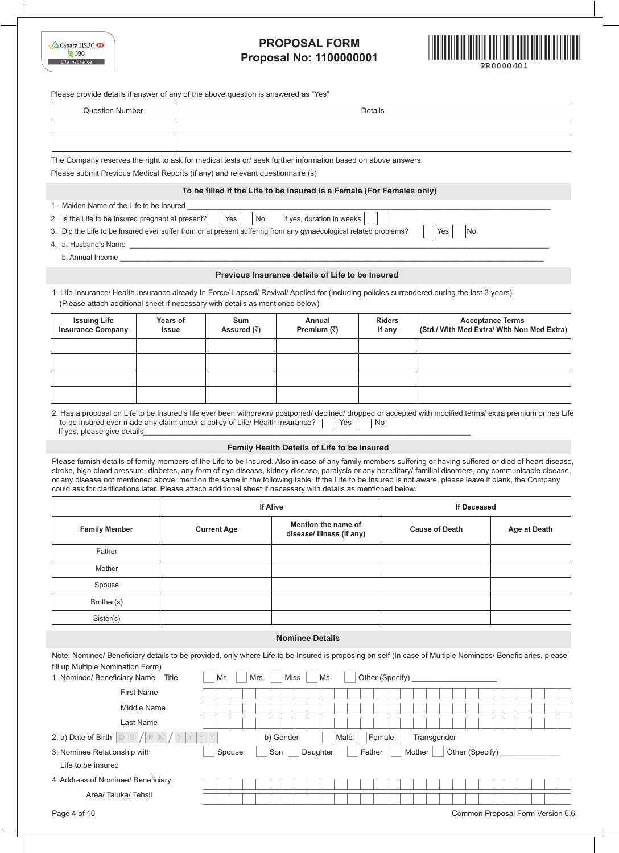| $\triangle$ Canara HSBC $\triangle$ |
|-------------------------------------|
| <b>COBC</b>                         |
| Life Insurance                      |



| <b>Question Number</b>                                                                                                                                                                     |              |                              |                                                                                                                                                                                                                                                                                                                                                                                                                                                                                        | Details         |                                            |                         |  |  |  |
|--------------------------------------------------------------------------------------------------------------------------------------------------------------------------------------------|--------------|------------------------------|----------------------------------------------------------------------------------------------------------------------------------------------------------------------------------------------------------------------------------------------------------------------------------------------------------------------------------------------------------------------------------------------------------------------------------------------------------------------------------------|-----------------|--------------------------------------------|-------------------------|--|--|--|
|                                                                                                                                                                                            |              |                              |                                                                                                                                                                                                                                                                                                                                                                                                                                                                                        |                 |                                            |                         |  |  |  |
|                                                                                                                                                                                            |              |                              |                                                                                                                                                                                                                                                                                                                                                                                                                                                                                        |                 |                                            |                         |  |  |  |
|                                                                                                                                                                                            |              |                              |                                                                                                                                                                                                                                                                                                                                                                                                                                                                                        |                 |                                            |                         |  |  |  |
|                                                                                                                                                                                            |              |                              | The Company reserves the right to ask for medical tests or/ seek further information based on above answers.                                                                                                                                                                                                                                                                                                                                                                           |                 |                                            |                         |  |  |  |
| Please submit Previous Medical Reports (if any) and relevant questionnaire (s)                                                                                                             |              |                              |                                                                                                                                                                                                                                                                                                                                                                                                                                                                                        |                 |                                            |                         |  |  |  |
|                                                                                                                                                                                            |              |                              | To be filled if the Life to be Insured is a Female (For Females only)                                                                                                                                                                                                                                                                                                                                                                                                                  |                 |                                            |                         |  |  |  |
| 1. Maiden Name of the Life to be Insured                                                                                                                                                   |              | No                           |                                                                                                                                                                                                                                                                                                                                                                                                                                                                                        |                 |                                            |                         |  |  |  |
| 2. Is the Life to be Insured pregnant at present?                                                                                                                                          |              | Yes                          | If yes, duration in weeks<br>3. Did the Life to be Insured ever suffer from or at present suffering from any gynaecological related problems?                                                                                                                                                                                                                                                                                                                                          |                 | No<br>Yes                                  |                         |  |  |  |
|                                                                                                                                                                                            |              |                              |                                                                                                                                                                                                                                                                                                                                                                                                                                                                                        |                 |                                            |                         |  |  |  |
|                                                                                                                                                                                            |              |                              | b. Annual Income experience and the contract of the contract of the contract of the contract of the contract of the contract of the contract of the contract of the contract of the contract of the contract of the contract o                                                                                                                                                                                                                                                         |                 |                                            |                         |  |  |  |
|                                                                                                                                                                                            |              |                              | Previous Insurance details of Life to be Insured                                                                                                                                                                                                                                                                                                                                                                                                                                       |                 |                                            |                         |  |  |  |
|                                                                                                                                                                                            |              |                              | 1. Life Insurance/ Health Insurance already In Force/ Lapsed/ Revival/ Applied for (including policies surrendered during the last 3 years)                                                                                                                                                                                                                                                                                                                                            |                 |                                            |                         |  |  |  |
| (Please attach additional sheet if necessary with details as mentioned below)                                                                                                              |              |                              |                                                                                                                                                                                                                                                                                                                                                                                                                                                                                        |                 |                                            |                         |  |  |  |
| <b>Issuing Life</b>                                                                                                                                                                        | Years of     | Sum                          | Annual                                                                                                                                                                                                                                                                                                                                                                                                                                                                                 | <b>Riders</b>   |                                            | <b>Acceptance Terms</b> |  |  |  |
| <b>Insurance Company</b>                                                                                                                                                                   | <b>Issue</b> | Assured $(\overline{\zeta})$ | Premium $(\bar{z})$                                                                                                                                                                                                                                                                                                                                                                                                                                                                    | if any          | (Std./ With Med Extra/ With Non Med Extra) |                         |  |  |  |
|                                                                                                                                                                                            |              |                              |                                                                                                                                                                                                                                                                                                                                                                                                                                                                                        |                 |                                            |                         |  |  |  |
|                                                                                                                                                                                            |              |                              |                                                                                                                                                                                                                                                                                                                                                                                                                                                                                        |                 |                                            |                         |  |  |  |
|                                                                                                                                                                                            |              |                              |                                                                                                                                                                                                                                                                                                                                                                                                                                                                                        |                 |                                            |                         |  |  |  |
|                                                                                                                                                                                            |              |                              |                                                                                                                                                                                                                                                                                                                                                                                                                                                                                        |                 |                                            |                         |  |  |  |
|                                                                                                                                                                                            |              |                              | Yes<br>Family Health Details of Life to be Insured                                                                                                                                                                                                                                                                                                                                                                                                                                     | No              |                                            |                         |  |  |  |
| to be Insured ever made any claim under a policy of Life/ Health Insurance?                                                                                                                |              |                              | Please furnish details of family members of the Life to be Insured. Also in case of any family members suffering or having suffered or died of heart disease,<br>stroke, high blood pressure, diabetes, any form of eye disease, kidney disease, paralysis or any hereditary/ familial disorders, any communicable disease,<br>or any disease not mentioned above, mention the same in the following table. If the Life to be Insured is not aware, please leave it blank, the Company |                 |                                            |                         |  |  |  |
| 2. Has a proposal on Life to be Insured's life ever been withdrawn/ postponed/ declined/ dropped or accepted with modified terms/ extra premium or has Life<br>If yes, please give details |              | <b>If Alive</b>              | could ask for clarifications later. Please attach additional sheet if necessary with details as mentioned below.                                                                                                                                                                                                                                                                                                                                                                       |                 | <b>If Deceased</b>                         |                         |  |  |  |
| <b>Family Member</b>                                                                                                                                                                       |              | <b>Current Age</b>           | Mention the name of<br>disease/ illness (if any)                                                                                                                                                                                                                                                                                                                                                                                                                                       |                 | <b>Cause of Death</b>                      | <b>Age at Death</b>     |  |  |  |
| Father                                                                                                                                                                                     |              |                              |                                                                                                                                                                                                                                                                                                                                                                                                                                                                                        |                 |                                            |                         |  |  |  |
| Mother                                                                                                                                                                                     |              |                              |                                                                                                                                                                                                                                                                                                                                                                                                                                                                                        |                 |                                            |                         |  |  |  |
| Spouse                                                                                                                                                                                     |              |                              |                                                                                                                                                                                                                                                                                                                                                                                                                                                                                        |                 |                                            |                         |  |  |  |
| Brother(s)                                                                                                                                                                                 |              |                              |                                                                                                                                                                                                                                                                                                                                                                                                                                                                                        |                 |                                            |                         |  |  |  |
|                                                                                                                                                                                            |              |                              |                                                                                                                                                                                                                                                                                                                                                                                                                                                                                        |                 |                                            |                         |  |  |  |
| Sister(s)                                                                                                                                                                                  |              |                              |                                                                                                                                                                                                                                                                                                                                                                                                                                                                                        |                 |                                            |                         |  |  |  |
|                                                                                                                                                                                            |              |                              | <b>Nominee Details</b>                                                                                                                                                                                                                                                                                                                                                                                                                                                                 |                 |                                            |                         |  |  |  |
|                                                                                                                                                                                            |              |                              | Note: Nominee/ Beneficiary details to be provided, only where Life to be Insured is proposing on self (In case of Multiple Nominees/ Beneficiaries, please                                                                                                                                                                                                                                                                                                                             |                 |                                            |                         |  |  |  |
|                                                                                                                                                                                            | Title        | Mr.<br>Mrs.                  | Miss<br>Ms.                                                                                                                                                                                                                                                                                                                                                                                                                                                                            | Other (Specify) |                                            |                         |  |  |  |
| <b>First Name</b>                                                                                                                                                                          |              |                              |                                                                                                                                                                                                                                                                                                                                                                                                                                                                                        |                 |                                            |                         |  |  |  |
|                                                                                                                                                                                            | Middle Name  |                              |                                                                                                                                                                                                                                                                                                                                                                                                                                                                                        |                 |                                            |                         |  |  |  |
| Last Name                                                                                                                                                                                  |              |                              |                                                                                                                                                                                                                                                                                                                                                                                                                                                                                        |                 |                                            |                         |  |  |  |
| fill up Multiple Nomination Form)<br>1. Nominee/ Beneficiary Name<br>2. a) Date of Birth                                                                                                   |              |                              | b) Gender<br>Male                                                                                                                                                                                                                                                                                                                                                                                                                                                                      | Female          | Transgender                                |                         |  |  |  |
| 3. Nominee Relationship with                                                                                                                                                               |              | Spouse                       | Son<br>Daughter                                                                                                                                                                                                                                                                                                                                                                                                                                                                        | Father          | Mother<br>Other (Specify) ______           |                         |  |  |  |
|                                                                                                                                                                                            |              |                              |                                                                                                                                                                                                                                                                                                                                                                                                                                                                                        |                 |                                            |                         |  |  |  |
| Life to be insured<br>4. Address of Nominee/ Beneficiary<br>Area/Taluka/Tehsil                                                                                                             |              |                              |                                                                                                                                                                                                                                                                                                                                                                                                                                                                                        |                 |                                            |                         |  |  |  |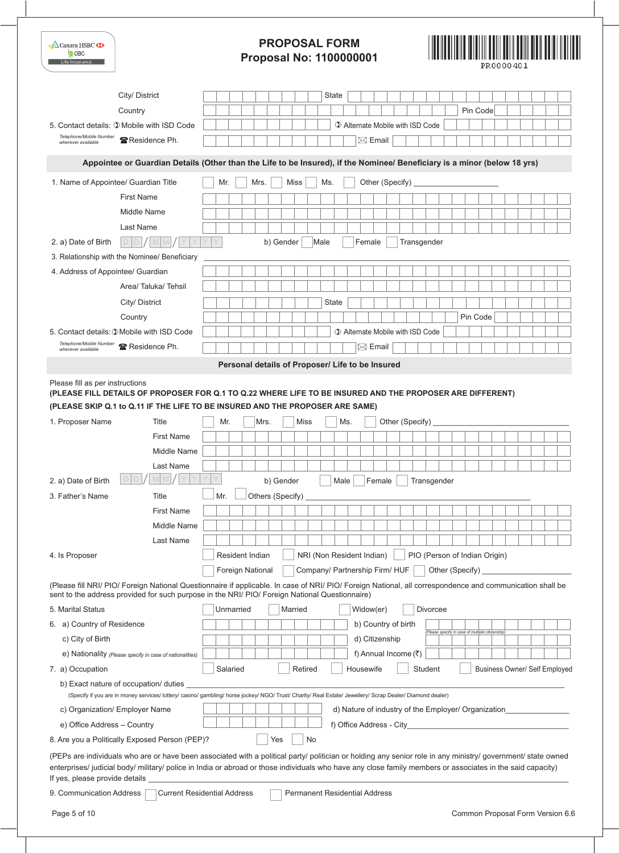| Canara HSBC $\Phi$<br><b>COBC</b><br>Life Insurance |                                                          | <b>PROPOSAL FORM</b><br><b>Proposal No: 1100000001</b>                                                                                                                                                                                                                                                                               | <u> IIII III III III III I</u><br>PR0000401 |
|-----------------------------------------------------|----------------------------------------------------------|--------------------------------------------------------------------------------------------------------------------------------------------------------------------------------------------------------------------------------------------------------------------------------------------------------------------------------------|---------------------------------------------|
|                                                     | City/ District                                           | State                                                                                                                                                                                                                                                                                                                                |                                             |
|                                                     | Country                                                  | Pin Code                                                                                                                                                                                                                                                                                                                             |                                             |
| 5. Contact details: 1 Mobile with ISD Code          |                                                          | 1 Alternate Mobile with ISD Code                                                                                                                                                                                                                                                                                                     |                                             |
| Telephone/Mobile Number<br>wherever available       | 雷 Residence Ph.                                          | $\boxtimes$ Email                                                                                                                                                                                                                                                                                                                    |                                             |
|                                                     |                                                          | Appointee or Guardian Details (Other than the Life to be Insured), if the Nominee/ Beneficiary is a minor (below 18 yrs)                                                                                                                                                                                                             |                                             |
| 1. Name of Appointee/ Guardian Title                |                                                          | Other (Specify)<br>Mr.<br>Mrs.<br>Miss<br>Ms.                                                                                                                                                                                                                                                                                        |                                             |
|                                                     | <b>First Name</b>                                        |                                                                                                                                                                                                                                                                                                                                      |                                             |
|                                                     | Middle Name                                              |                                                                                                                                                                                                                                                                                                                                      |                                             |
|                                                     | Last Name                                                |                                                                                                                                                                                                                                                                                                                                      |                                             |
| 2. a) Date of Birth                                 | D<br>D                                                   | b) Gender<br>Male<br>Female<br>Transgender                                                                                                                                                                                                                                                                                           |                                             |
| 3. Relationship with the Nominee/ Beneficiary       |                                                          |                                                                                                                                                                                                                                                                                                                                      |                                             |
| 4. Address of Appointee/ Guardian                   |                                                          |                                                                                                                                                                                                                                                                                                                                      |                                             |
|                                                     | Area/Taluka/Tehsil                                       |                                                                                                                                                                                                                                                                                                                                      |                                             |
|                                                     | City/ District                                           | State                                                                                                                                                                                                                                                                                                                                |                                             |
|                                                     | Country                                                  | Pin Code                                                                                                                                                                                                                                                                                                                             |                                             |
| 5. Contact details: 1 Mobile with ISD Code          |                                                          | 1 Alternate Mobile with ISD Code                                                                                                                                                                                                                                                                                                     |                                             |
| Telephone/Mobile Number<br>wherever available       | Residence Ph.                                            | $\boxtimes$ Email                                                                                                                                                                                                                                                                                                                    |                                             |
|                                                     |                                                          | Personal details of Proposer/ Life to be Insured                                                                                                                                                                                                                                                                                     |                                             |
| Please fill as per instructions                     |                                                          | (PLEASE FILL DETAILS OF PROPOSER FOR Q.1 TO Q.22 WHERE LIFE TO BE INSURED AND THE PROPOSER ARE DIFFERENT)<br>(PLEASE SKIP Q.1 to Q.11 IF THE LIFE TO BE INSURED AND THE PROPOSER ARE SAME)                                                                                                                                           |                                             |
| 1. Proposer Name                                    | Title                                                    | Other (Specify)<br>Mrs.<br>Miss<br>Ms.<br>Mr.                                                                                                                                                                                                                                                                                        |                                             |
|                                                     | <b>First Name</b>                                        |                                                                                                                                                                                                                                                                                                                                      |                                             |
|                                                     | Middle Name                                              |                                                                                                                                                                                                                                                                                                                                      |                                             |
|                                                     | Last Name                                                |                                                                                                                                                                                                                                                                                                                                      |                                             |
| 2. a) Date of Birth                                 |                                                          | b) Gender<br>Male<br>Female<br>Transgender                                                                                                                                                                                                                                                                                           |                                             |
| 3. Father's Name                                    | Title                                                    | Others (Specify)<br>Mr.                                                                                                                                                                                                                                                                                                              |                                             |
|                                                     | <b>First Name</b>                                        |                                                                                                                                                                                                                                                                                                                                      |                                             |
|                                                     | Middle Name                                              |                                                                                                                                                                                                                                                                                                                                      |                                             |
|                                                     | Last Name                                                |                                                                                                                                                                                                                                                                                                                                      |                                             |
| 4. Is Proposer                                      |                                                          | Resident Indian<br>NRI (Non Resident Indian)<br>PIO (Person of Indian Origin)                                                                                                                                                                                                                                                        |                                             |
|                                                     |                                                          | Foreign National<br>Company/ Partnership Firm/ HUF<br>Other (Specify)<br>(Please fill NRI/ PIO/ Foreign National Questionnaire if applicable. In case of NRI/ PIO/ Foreign National, all correspondence and communication shall be<br>sent to the address provided for such purpose in the NRI/ PIO/ Foreign National Questionnaire) |                                             |
| 5. Marital Status                                   |                                                          | Unmarried<br>Divorcee<br>Married<br>Widow(er)                                                                                                                                                                                                                                                                                        |                                             |
| 6. a) Country of Residence                          |                                                          | b) Country of birth                                                                                                                                                                                                                                                                                                                  |                                             |
| c) City of Birth                                    |                                                          | (Please specify in case of multiple citizenship)<br>d) Citizenship                                                                                                                                                                                                                                                                   |                                             |
|                                                     | e) Nationality (Please specify in case of nationalities) | f) Annual Income $(\bar{\tau})$                                                                                                                                                                                                                                                                                                      |                                             |
| 7. a) Occupation                                    |                                                          | Salaried<br>Retired<br>Housewife<br>Student                                                                                                                                                                                                                                                                                          | <b>Business Owner/ Self Employed</b>        |
|                                                     | b) Exact nature of occupation/ duties                    | (Specify if you are in money services/ lottery/ casino/ gambling/ horse jockey/ NGO/ Trust/ Charity/ Real Estate/ Jewellery/ Scrap Dealer/ Diamond dealer)                                                                                                                                                                           |                                             |
| c) Organization/ Employer Name                      |                                                          | d) Nature of industry of the Employer/ Organization                                                                                                                                                                                                                                                                                  |                                             |
| e) Office Address - Country                         |                                                          |                                                                                                                                                                                                                                                                                                                                      |                                             |
| 8. Are you a Politically Exposed Person (PEP)?      |                                                          | Yes<br>No                                                                                                                                                                                                                                                                                                                            |                                             |
| If yes, please provide details                      |                                                          | (PEPs are individuals who are or have been associated with a political party/ politician or holding any senior role in any ministry/ government/ state owned<br>enterprises/ judicial body/ military/ police in India or abroad or those individuals who have any close family members or associates in the said capacity)           |                                             |
| 9. Communication Address                            |                                                          | <b>Current Residential Address</b><br><b>Permanent Residential Address</b>                                                                                                                                                                                                                                                           |                                             |

ı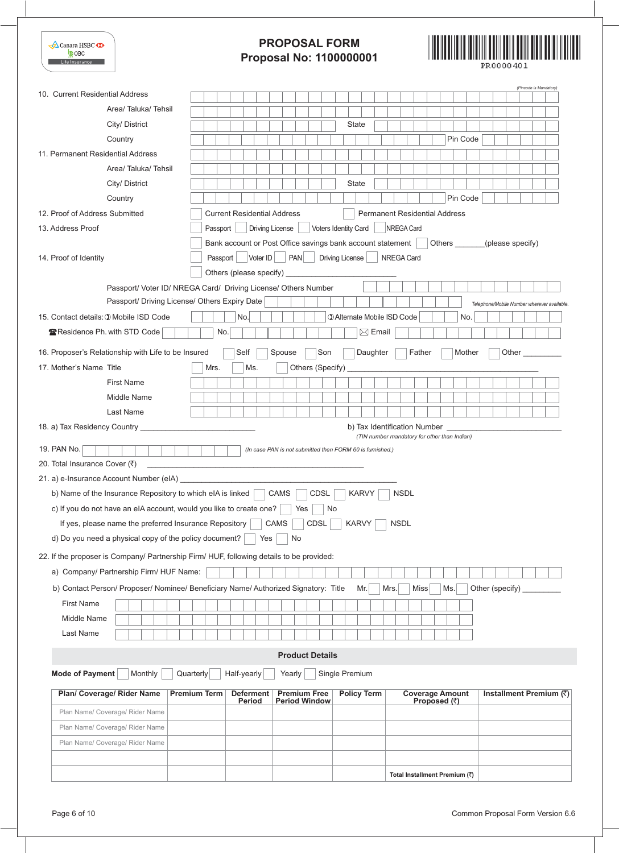| Canara HSBC<br><b>COBC</b><br>Life Insurance                                            | <b>PROPOSAL FORM</b><br><b>Proposal No: 1100000001</b><br>PR 0000 40 1                                                                      |
|-----------------------------------------------------------------------------------------|---------------------------------------------------------------------------------------------------------------------------------------------|
| 10. Current Residential Address                                                         | (Pincode is Mandatory)                                                                                                                      |
| Area/Taluka/Tehsil                                                                      |                                                                                                                                             |
| City/ District                                                                          | State                                                                                                                                       |
| Country                                                                                 | Pin Code                                                                                                                                    |
| 11. Permanent Residential Address                                                       |                                                                                                                                             |
| Area/Taluka/Tehsil                                                                      |                                                                                                                                             |
| City/ District                                                                          | State                                                                                                                                       |
| Country                                                                                 | Pin Code                                                                                                                                    |
| 12. Proof of Address Submitted                                                          | <b>Current Residential Address</b><br><b>Permanent Residential Address</b>                                                                  |
| 13. Address Proof                                                                       | Driving License<br>Voters Identity Card<br>NREGA Card<br>Passport                                                                           |
|                                                                                         | Bank account or Post Office savings bank account statement<br>Others _______(please specify)                                                |
| 14. Proof of Identity                                                                   | Voter ID<br>PAN<br>Driving License<br><b>NREGA Card</b><br>Passport                                                                         |
|                                                                                         |                                                                                                                                             |
|                                                                                         | Passport/ Voter ID/ NREGA Card/ Driving License/ Others Number                                                                              |
| Passport/ Driving License/ Others Expiry Date                                           | Telephone/Mobile Number wherever available.                                                                                                 |
| 15. Contact details: 1 Mobile ISD Code                                                  | <b>1 Alternate Mobile ISD Code</b><br>No.<br>No.                                                                                            |
| Residence Ph. with STD Code                                                             | $\boxtimes$ Email<br>No.                                                                                                                    |
| 16. Proposer's Relationship with Life to be Insured                                     | Self<br>Son<br>Daughter<br>Father<br>Mother<br>Other<br>Spouse                                                                              |
| 17. Mother's Name Title                                                                 | Others (Specify)<br>Mrs.<br>Ms.                                                                                                             |
| <b>First Name</b>                                                                       |                                                                                                                                             |
| Middle Name                                                                             |                                                                                                                                             |
| <b>Last Name</b>                                                                        |                                                                                                                                             |
|                                                                                         | b) Tax Identification Number                                                                                                                |
| 19. PAN No.<br>20. Total Insurance Cover (₹)<br>21. a) e-Insurance Account Number (eIA) | (TIN number mandatory for other than Indian)<br>(In case PAN is not submitted then FORM 60 is furnished.)                                   |
| b) Name of the Insurance Repository to which eIA is linked                              | CDSL<br><b>NSDL</b><br><b>CAMS</b><br><b>KARVY</b>                                                                                          |
| c) If you do not have an eIA account, would you like to create one?                     | Yes<br>No                                                                                                                                   |
| If yes, please name the preferred Insurance Repository                                  | CDSL<br>CAMS<br><b>KARVY</b><br><b>NSDL</b>                                                                                                 |
| d) Do you need a physical copy of the policy document?                                  | Yes<br>No                                                                                                                                   |
|                                                                                         | 22. If the proposer is Company/ Partnership Firm/ HUF, following details to be provided:                                                    |
| a) Company/ Partnership Firm/ HUF Name:                                                 |                                                                                                                                             |
|                                                                                         |                                                                                                                                             |
|                                                                                         | b) Contact Person/ Proposer/ Nominee/ Beneficiary Name/ Authorized Signatory: Title<br><b>Miss</b><br>Other (specify)<br>Mr.<br>Mrs.<br>Ms. |
| <b>First Name</b><br>Middle Name                                                        |                                                                                                                                             |
|                                                                                         |                                                                                                                                             |
| Last Name                                                                               |                                                                                                                                             |
|                                                                                         | <b>Product Details</b>                                                                                                                      |
| Mode of Payment<br>Monthly                                                              | Quarterly<br>Half-yearly<br>Single Premium<br>Yearly                                                                                        |
| Plan/ Coverage/ Rider Name                                                              | <b>Coverage Amount</b><br>Installment Premium (₹)<br><b>Premium Term</b><br><b>Deferment</b><br><b>Premium Free</b><br><b>Policy Term</b>   |
| Plan Name/ Coverage/ Rider Name                                                         | Proposed $(3)$<br>Period<br><b>Period Window</b>                                                                                            |
| Plan Name/ Coverage/ Rider Name                                                         |                                                                                                                                             |
| Plan Name/ Coverage/ Rider Name                                                         |                                                                                                                                             |
|                                                                                         |                                                                                                                                             |
|                                                                                         | Total Installment Premium (₹)                                                                                                               |
|                                                                                         |                                                                                                                                             |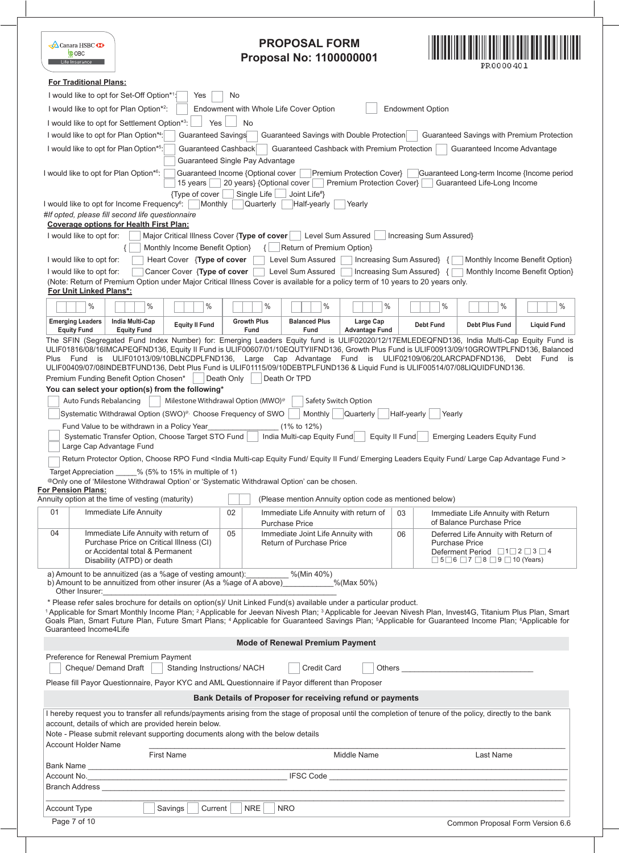|          | <b>A</b> Canara HSBC<br><b>COBC</b><br>Life Insurance          |                                                                                                                                                                                                                                                                                                                                                                                                                                                                                                                                                                                                                                                     |                                                                 |                                   | <b>PROPOSAL FORM</b><br><b>Proposal No: 1100000001</b>                                                                                                                                                                                                                                                                                                                                                                                                                                                                                                                                                                                                                                                                                                                                                                                                                                                                                                                                                                                                                                                                                                                                                                                            |                                                        |                                           |                                 |                                                                                                                                                                                                                                                                          | PR 0000 40 1 |                                            |
|----------|----------------------------------------------------------------|-----------------------------------------------------------------------------------------------------------------------------------------------------------------------------------------------------------------------------------------------------------------------------------------------------------------------------------------------------------------------------------------------------------------------------------------------------------------------------------------------------------------------------------------------------------------------------------------------------------------------------------------------------|-----------------------------------------------------------------|-----------------------------------|---------------------------------------------------------------------------------------------------------------------------------------------------------------------------------------------------------------------------------------------------------------------------------------------------------------------------------------------------------------------------------------------------------------------------------------------------------------------------------------------------------------------------------------------------------------------------------------------------------------------------------------------------------------------------------------------------------------------------------------------------------------------------------------------------------------------------------------------------------------------------------------------------------------------------------------------------------------------------------------------------------------------------------------------------------------------------------------------------------------------------------------------------------------------------------------------------------------------------------------------------|--------------------------------------------------------|-------------------------------------------|---------------------------------|--------------------------------------------------------------------------------------------------------------------------------------------------------------------------------------------------------------------------------------------------------------------------|--------------|--------------------------------------------|
|          | <b>For Traditional Plans:</b>                                  | I would like to opt for Set-Off Option*1:                                                                                                                                                                                                                                                                                                                                                                                                                                                                                                                                                                                                           | Yes                                                             | No                                |                                                                                                                                                                                                                                                                                                                                                                                                                                                                                                                                                                                                                                                                                                                                                                                                                                                                                                                                                                                                                                                                                                                                                                                                                                                   |                                                        |                                           |                                 |                                                                                                                                                                                                                                                                          |              |                                            |
|          |                                                                | I would like to opt for Plan Option*2:                                                                                                                                                                                                                                                                                                                                                                                                                                                                                                                                                                                                              |                                                                 |                                   | Endowment with Whole Life Cover Option                                                                                                                                                                                                                                                                                                                                                                                                                                                                                                                                                                                                                                                                                                                                                                                                                                                                                                                                                                                                                                                                                                                                                                                                            |                                                        | <b>Endowment Option</b>                   |                                 |                                                                                                                                                                                                                                                                          |              |                                            |
|          |                                                                | I would like to opt for Settlement Option*3:                                                                                                                                                                                                                                                                                                                                                                                                                                                                                                                                                                                                        | Yes                                                             | No                                |                                                                                                                                                                                                                                                                                                                                                                                                                                                                                                                                                                                                                                                                                                                                                                                                                                                                                                                                                                                                                                                                                                                                                                                                                                                   |                                                        |                                           |                                 |                                                                                                                                                                                                                                                                          |              |                                            |
|          |                                                                | I would like to opt for Plan Option*4:                                                                                                                                                                                                                                                                                                                                                                                                                                                                                                                                                                                                              | <b>Guaranteed Savings</b>                                       |                                   | Guaranteed Savings with Double Protection                                                                                                                                                                                                                                                                                                                                                                                                                                                                                                                                                                                                                                                                                                                                                                                                                                                                                                                                                                                                                                                                                                                                                                                                         |                                                        |                                           |                                 |                                                                                                                                                                                                                                                                          |              | Guaranteed Savings with Premium Protection |
|          |                                                                | I would like to opt for Plan Option*5:                                                                                                                                                                                                                                                                                                                                                                                                                                                                                                                                                                                                              | Guaranteed Cashback<br>Guaranteed Single Pay Advantage          |                                   | Guaranteed Cashback with Premium Protection                                                                                                                                                                                                                                                                                                                                                                                                                                                                                                                                                                                                                                                                                                                                                                                                                                                                                                                                                                                                                                                                                                                                                                                                       |                                                        |                                           |                                 | Guaranteed Income Advantage                                                                                                                                                                                                                                              |              |                                            |
|          |                                                                | I would like to opt for Plan Option*6:                                                                                                                                                                                                                                                                                                                                                                                                                                                                                                                                                                                                              | Guaranteed Income {Optional cover<br>15 years<br>{Type of cover | Single Life $\Box$                | 20 years} {Optional cover<br>Joint Life#}                                                                                                                                                                                                                                                                                                                                                                                                                                                                                                                                                                                                                                                                                                                                                                                                                                                                                                                                                                                                                                                                                                                                                                                                         | Premium Protection Cover}<br>Premium Protection Cover} |                                           |                                 | Guaranteed Life-Long Income                                                                                                                                                                                                                                              |              | Guaranteed Long-term Income {Income period |
|          |                                                                | I would like to opt for Income Frequency <sup>6</sup> :<br>#If opted, please fill second life questionnaire                                                                                                                                                                                                                                                                                                                                                                                                                                                                                                                                         | Monthly                                                         | Quarterly                         | Half-yearly                                                                                                                                                                                                                                                                                                                                                                                                                                                                                                                                                                                                                                                                                                                                                                                                                                                                                                                                                                                                                                                                                                                                                                                                                                       | Yearly                                                 |                                           |                                 |                                                                                                                                                                                                                                                                          |              |                                            |
|          | I would like to opt for:                                       | <b>Coverage options for Health First Plan:</b>                                                                                                                                                                                                                                                                                                                                                                                                                                                                                                                                                                                                      | Major Critical Illness Cover {Type of cover                     |                                   | Level Sum Assured                                                                                                                                                                                                                                                                                                                                                                                                                                                                                                                                                                                                                                                                                                                                                                                                                                                                                                                                                                                                                                                                                                                                                                                                                                 |                                                        |                                           | Increasing Sum Assured}         |                                                                                                                                                                                                                                                                          |              |                                            |
|          |                                                                |                                                                                                                                                                                                                                                                                                                                                                                                                                                                                                                                                                                                                                                     | Monthly Income Benefit Option}                                  |                                   | Return of Premium Option}                                                                                                                                                                                                                                                                                                                                                                                                                                                                                                                                                                                                                                                                                                                                                                                                                                                                                                                                                                                                                                                                                                                                                                                                                         |                                                        |                                           |                                 |                                                                                                                                                                                                                                                                          |              |                                            |
|          | I would like to opt for:                                       |                                                                                                                                                                                                                                                                                                                                                                                                                                                                                                                                                                                                                                                     | Heart Cover {Type of cover                                      |                                   | Level Sum Assured                                                                                                                                                                                                                                                                                                                                                                                                                                                                                                                                                                                                                                                                                                                                                                                                                                                                                                                                                                                                                                                                                                                                                                                                                                 | Increasing Sum Assured} {                              |                                           |                                 |                                                                                                                                                                                                                                                                          |              | Monthly Income Benefit Option              |
|          | I would like to opt for:<br><b>For Unit Linked Plans*:</b>     |                                                                                                                                                                                                                                                                                                                                                                                                                                                                                                                                                                                                                                                     | Cancer Cover {Type of cover                                     |                                   | Level Sum Assured<br>(Note: Return of Premium Option under Major Critical Illness Cover is available for a policy term of 10 years to 20 years only.                                                                                                                                                                                                                                                                                                                                                                                                                                                                                                                                                                                                                                                                                                                                                                                                                                                                                                                                                                                                                                                                                              | Increasing Sum Assured} {                              |                                           |                                 |                                                                                                                                                                                                                                                                          |              | Monthly Income Benefit Option}             |
|          | $\%$                                                           | $\frac{0}{0}$                                                                                                                                                                                                                                                                                                                                                                                                                                                                                                                                                                                                                                       | %                                                               |                                   | %<br>%                                                                                                                                                                                                                                                                                                                                                                                                                                                                                                                                                                                                                                                                                                                                                                                                                                                                                                                                                                                                                                                                                                                                                                                                                                            | %                                                      |                                           | %                               |                                                                                                                                                                                                                                                                          | $\%$         | $\frac{0}{0}$                              |
|          | <b>Emerging Leaders</b><br><b>Equity Fund</b>                  | India Multi-Cap<br><b>Equity Fund</b>                                                                                                                                                                                                                                                                                                                                                                                                                                                                                                                                                                                                               | <b>Equity II Fund</b>                                           | <b>Growth Plus</b><br><b>Fund</b> | <b>Balanced Plus</b><br><b>Fund</b>                                                                                                                                                                                                                                                                                                                                                                                                                                                                                                                                                                                                                                                                                                                                                                                                                                                                                                                                                                                                                                                                                                                                                                                                               | Large Cap<br><b>Advantage Fund</b>                     |                                           | <b>Debt Fund</b>                | <b>Debt Plus Fund</b>                                                                                                                                                                                                                                                    |              | <b>Liquid Fund</b>                         |
| 01<br>04 | Auto Funds Rebalancing<br>For Pension Plans:<br>Other Insurer: | Plus Fund is ULIF01013/09/10BLNCDPLFND136,<br>Premium Funding Benefit Option Chosen*<br>You can select your option(s) from the following*<br>Systematic Withdrawal Option (SWO) <sup>®</sup> Choose Frequency of SWO<br>Fund Value to be withdrawn in a Policy Year<br>Systematic Transfer Option, Choose Target STO Fund<br>Large Cap Advantage Fund<br>Target Appreciation _____% (5% to 15% in multiple of 1)<br>Annuity option at the time of vesting (maturity)<br>Immediate Life Annuity<br>Immediate Life Annuity with return of<br>Purchase Price on Critical Illness (CI)<br>or Accidental total & Permanent<br>Disability (ATPD) or death | Milestone Withdrawal Option (MWO) <sup>®</sup>                  | Death Only<br>02<br>05            | Large Cap Advantage Fund is ULIF02109/06/20LARCPADFND136,<br>ULIF00409/07/08INDEBTFUND136, Debt Plus Fund is ULIF01115/09/10DEBTPLFUND136 & Liquid Fund is ULIF00514/07/08LIQUIDFUND136.<br>Death Or TPD<br>Safety Switch Option<br>Monthly<br>(1% to 12%)<br>India Multi-cap Equity Fund<br>Return Protector Option, Choose RPO Fund <india advantage="" cap="" emerging="" equity="" fund="" ii="" large="" leaders="" multi-cap=""><br/>@Only one of 'Milestone Withdrawal Option' or 'Systematic Withdrawal Option' can be chosen.<br/>(Please mention Annuity option code as mentioned below)<br/>Immediate Life Annuity with return of<br/><b>Purchase Price</b><br/>Immediate Joint Life Annuity with<br/>Return of Purchase Price<br/>a) Amount to be annuitized (as a %age of vesting amount): __________ %(Min 40%)<br/>b) Amount to be annuitized from other insurer (As a %age of A above) 6 % (Max 50%)<br/>* Please refer sales brochure for details on option(s)/ Unit Linked Fund(s) available under a particular product.<br/><sup>1</sup> Applicable for Smart Monthly Income Plan; <sup>2</sup> Applicable for Jeevan Nivesh Plan; <sup>3</sup> Applicable for Jeevan Nivesh Plan, Invest4G, Titanium Plus Plan, Smart</india> | Quarterly                                              | Half-yearly<br>Equity II Fund<br>03<br>06 | Yearly<br><b>Purchase Price</b> | <b>Emerging Leaders Equity Fund</b><br>Immediate Life Annuity with Return<br>of Balance Purchase Price<br>Deferred Life Annuity with Return of<br>Deferment Period $\Box$ 1 $\Box$ 2 $\Box$ 3 $\Box$ 4<br>$\Box$ 5 $\Box$ 6 $\Box$ 7 $\Box$ 8 $\Box$ 9 $\Box$ 10 (Years) |              | Debt Fund is                               |
|          | Guaranteed Income4Life                                         |                                                                                                                                                                                                                                                                                                                                                                                                                                                                                                                                                                                                                                                     |                                                                 |                                   | Goals Plan, Smart Future Plan, Future Smart Plans; <sup>4</sup> Applicable for Guaranteed Savings Plan; <sup>5</sup> Applicable for Guaranteed Income Plan; <sup>6</sup> Applicable for<br><b>Mode of Renewal Premium Payment</b>                                                                                                                                                                                                                                                                                                                                                                                                                                                                                                                                                                                                                                                                                                                                                                                                                                                                                                                                                                                                                 |                                                        |                                           |                                 |                                                                                                                                                                                                                                                                          |              |                                            |
|          |                                                                | Preference for Renewal Premium Payment                                                                                                                                                                                                                                                                                                                                                                                                                                                                                                                                                                                                              |                                                                 |                                   |                                                                                                                                                                                                                                                                                                                                                                                                                                                                                                                                                                                                                                                                                                                                                                                                                                                                                                                                                                                                                                                                                                                                                                                                                                                   |                                                        |                                           |                                 |                                                                                                                                                                                                                                                                          |              |                                            |
|          |                                                                | Cheque/ Demand Draft                                                                                                                                                                                                                                                                                                                                                                                                                                                                                                                                                                                                                                | Standing Instructions/ NACH                                     |                                   | <b>Credit Card</b>                                                                                                                                                                                                                                                                                                                                                                                                                                                                                                                                                                                                                                                                                                                                                                                                                                                                                                                                                                                                                                                                                                                                                                                                                                |                                                        |                                           |                                 |                                                                                                                                                                                                                                                                          |              |                                            |
|          |                                                                |                                                                                                                                                                                                                                                                                                                                                                                                                                                                                                                                                                                                                                                     |                                                                 |                                   | Please fill Payor Questionnaire, Payor KYC and AML Questionnaire if Payor different than Proposer<br>Bank Details of Proposer for receiving refund or payments                                                                                                                                                                                                                                                                                                                                                                                                                                                                                                                                                                                                                                                                                                                                                                                                                                                                                                                                                                                                                                                                                    |                                                        |                                           |                                 |                                                                                                                                                                                                                                                                          |              |                                            |
|          |                                                                | account, details of which are provided herein below.                                                                                                                                                                                                                                                                                                                                                                                                                                                                                                                                                                                                |                                                                 |                                   | I hereby request you to transfer all refunds/payments arising from the stage of proposal until the completion of tenure of the policy, directly to the bank                                                                                                                                                                                                                                                                                                                                                                                                                                                                                                                                                                                                                                                                                                                                                                                                                                                                                                                                                                                                                                                                                       |                                                        |                                           |                                 |                                                                                                                                                                                                                                                                          |              |                                            |
|          |                                                                | Note - Please submit relevant supporting documents along with the below details                                                                                                                                                                                                                                                                                                                                                                                                                                                                                                                                                                     |                                                                 |                                   |                                                                                                                                                                                                                                                                                                                                                                                                                                                                                                                                                                                                                                                                                                                                                                                                                                                                                                                                                                                                                                                                                                                                                                                                                                                   |                                                        |                                           |                                 |                                                                                                                                                                                                                                                                          |              |                                            |
|          | Account Holder Name                                            |                                                                                                                                                                                                                                                                                                                                                                                                                                                                                                                                                                                                                                                     | First Name                                                      |                                   |                                                                                                                                                                                                                                                                                                                                                                                                                                                                                                                                                                                                                                                                                                                                                                                                                                                                                                                                                                                                                                                                                                                                                                                                                                                   | Middle Name                                            |                                           |                                 | Last Name                                                                                                                                                                                                                                                                |              |                                            |
|          |                                                                | Bank Name was a structured by the contract of the contract of the contract of the contract of the contract of the contract of the contract of the contract of the contract of the contract of the contract of the contract of                                                                                                                                                                                                                                                                                                                                                                                                                       |                                                                 |                                   |                                                                                                                                                                                                                                                                                                                                                                                                                                                                                                                                                                                                                                                                                                                                                                                                                                                                                                                                                                                                                                                                                                                                                                                                                                                   |                                                        |                                           |                                 |                                                                                                                                                                                                                                                                          |              |                                            |
|          |                                                                | Branch Address <b>Example 20</b> Section 20 April 20 Section 20 April 20 Section 20 April 20 Section 20 Section 20 April 20 Section 20 April 20 Section 20 Section 20 April 20 Section 20 Section 20 Section 20 Section 20 Section                                                                                                                                                                                                                                                                                                                                                                                                                  |                                                                 |                                   |                                                                                                                                                                                                                                                                                                                                                                                                                                                                                                                                                                                                                                                                                                                                                                                                                                                                                                                                                                                                                                                                                                                                                                                                                                                   |                                                        |                                           |                                 |                                                                                                                                                                                                                                                                          |              |                                            |
|          |                                                                |                                                                                                                                                                                                                                                                                                                                                                                                                                                                                                                                                                                                                                                     |                                                                 |                                   |                                                                                                                                                                                                                                                                                                                                                                                                                                                                                                                                                                                                                                                                                                                                                                                                                                                                                                                                                                                                                                                                                                                                                                                                                                                   |                                                        |                                           |                                 |                                                                                                                                                                                                                                                                          |              |                                            |
|          | <b>Account Type</b>                                            |                                                                                                                                                                                                                                                                                                                                                                                                                                                                                                                                                                                                                                                     | Savings<br>Current                                              | <b>NRE</b>                        | <b>NRO</b>                                                                                                                                                                                                                                                                                                                                                                                                                                                                                                                                                                                                                                                                                                                                                                                                                                                                                                                                                                                                                                                                                                                                                                                                                                        |                                                        |                                           |                                 |                                                                                                                                                                                                                                                                          |              |                                            |
|          | Page 7 of 10                                                   |                                                                                                                                                                                                                                                                                                                                                                                                                                                                                                                                                                                                                                                     |                                                                 |                                   |                                                                                                                                                                                                                                                                                                                                                                                                                                                                                                                                                                                                                                                                                                                                                                                                                                                                                                                                                                                                                                                                                                                                                                                                                                                   |                                                        |                                           |                                 | Common Proposal Form Version 6.6                                                                                                                                                                                                                                         |              |                                            |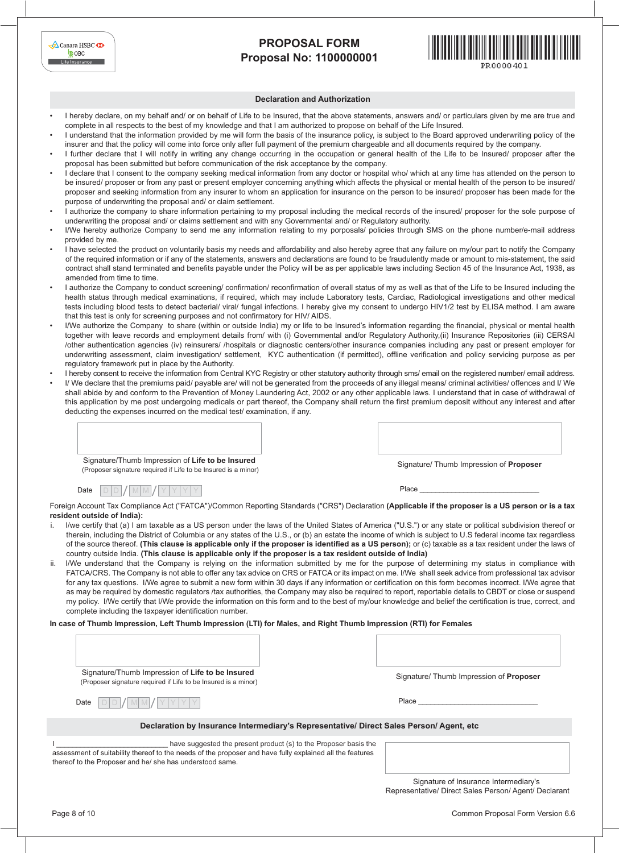| $\triangle$ Canara HSBC $\overline{\mathbf{X}}$ |  |
|-------------------------------------------------|--|
| <b>COBC</b>                                     |  |
| Life Insurance                                  |  |



#### **Declaration and Authorization**

- I hereby declare, on my behalf and/ or on behalf of Life to be Insured, that the above statements, answers and/ or particulars given by me are true and complete in all respects to the best of my knowledge and that I am authorized to propose on behalf of the Life Insured.
- I understand that the information provided by me will form the basis of the insurance policy, is subject to the Board approved underwriting policy of the insurer and that the policy will come into force only after full payment of the premium chargeable and all documents required by the company.
- I further declare that I will notify in writing any change occurring in the occupation or general health of the Life to be Insured/ proposer after the proposal has been submitted but before communication of the risk acceptance by the company.
- I declare that I consent to the company seeking medical information from any doctor or hospital who/ which at any time has attended on the person to be insured/ proposer or from any past or present employer concerning anything which affects the physical or mental health of the person to be insured/ proposer and seeking information from any insurer to whom an application for insurance on the person to be insured/ proposer has been made for the purpose of underwriting the proposal and/ or claim settlement.
- I authorize the company to share information pertaining to my proposal including the medical records of the insured/ proposer for the sole purpose of underwriting the proposal and/ or claims settlement and with any Governmental and/ or Regulatory authority.
- I/We hereby authorize Company to send me any information relating to my porposals/ policies through SMS on the phone number/e-mail address provided by me.
- I have selected the product on voluntarily basis my needs and affordability and also hereby agree that any failure on my/our part to notify the Company of the required information or if any of the statements, answers and declarations are found to be fraudulently made or amount to mis-statement, the said contract shall stand terminated and benefits payable under the Policy will be as per applicable laws including Section 45 of the Insurance Act, 1938, as amended from time to time.
- I authorize the Company to conduct screening/ confirmation/ reconfirmation of overall status of my as well as that of the Life to be Insured including the health status through medical examinations, if required, which may include Laboratory tests, Cardiac, Radiological investigations and other medical tests including blood tests to detect bacterial/ viral/ fungal infections. I hereby give my consent to undergo HIV1/2 test by ELISA method. I am aware that this test is only for screening purposes and not confirmatory for HIV/ AIDS.
- I/We authorize the Company to share (within or outside India) my or life to be Insured's information regarding the financial, physical or mental health together with leave records and employment details from/ with (i) Governmental and/or Regulatory Authority,(ii) Insurance Repositories (iii) CERSAI /other authentication agencies (iv) reinsurers/ /hospitals or diagnostic centers/other insurance companies including any past or present employer for underwriting assessment, claim investigation/ settlement, KYC authentication (if permitted), offline verification and policy servicing purpose as per regulatory framework put in place by the Authority.
- I hereby consent to receive the information from Central KYC Registry or other statutory authority through sms/ email on the registered number/ email address.
- I/ We declare that the premiums paid/ payable are/ will not be generated from the proceeds of any illegal means/ criminal activities/ offences and I/ We shall abide by and conform to the Prevention of Money Laundering Act, 2002 or any other applicable laws. I understand that in case of withdrawal of this application by me post undergoing medicals or part thereof, the Company shall return the first premium deposit without any interest and after deducting the expenses incurred on the medical test/ examination, if any.

| Signature/Thumb Impression of Life to be Insured<br>(Proposer signature required if Life to be Insured is a minor) |
|--------------------------------------------------------------------------------------------------------------------|

Signature/ Thumb Impression of **Proposer**

Date  $D D / M M / Y Y Y$ 

Place

Foreign Account Tax Compliance Act ("FATCA")/Common Reporting Standards ("CRS") Declaration **(Applicable if the proposer is a US person or is a tax resident outside of India):**

- I/we certify that (a) I am taxable as a US person under the laws of the United States of America ("U.S.") or any state or political subdivision thereof or therein, including the District of Columbia or any states of the U.S., or (b) an estate the income of which is subject to U.S federal income tax regardless of the source thereof. **(This clause is applicable only if the proposer is identified as a US person);** or (c) taxable as a tax resident under the laws of country outside India. **(This clause is applicable only if the proposer is a tax resident outside of India)**
- I/We understand that the Company is relying on the information submitted by me for the purpose of determining my status in compliance with FATCA/CRS. The Company is not able to offer any tax advice on CRS or FATCA or its impact on me. I/We shall seek advice from professional tax advisor for any tax questions. I/We agree to submit a new form within 30 days if any information or certification on this form becomes incorrect. I/We agree that as may be required by domestic regulators /tax authorities, the Company may also be required to report, reportable details to CBDT or close or suspend my policy. I/We certify that I/We provide the information on this form and to the best of my/our knowledge and belief the certification is true, correct, and complete including the taxpayer identification number.

**In case of Thumb Impression, Left Thumb Impression (LTI) for Males, and Right Thumb Impression (RTI) for Females**

| Signature/Thumb Impression of Life to be Insured<br>(Proposer signature required if Life to be Insured is a minor)<br>Date                                           | Signature/ Thumb Impression of <b>Proposer</b><br>Place                                        |
|----------------------------------------------------------------------------------------------------------------------------------------------------------------------|------------------------------------------------------------------------------------------------|
| have suggested the present product (s) to the Proposer basis the                                                                                                     | Declaration by Insurance Intermediary's Representative/ Direct Sales Person/Agent, etc.        |
| assessment of suitability thereof to the needs of the proposer and have fully explained all the features<br>thereof to the Proposer and he/ she has understood same. | Signature of Insurance Intermediary's<br>Representative/ Direct Sales Person/ Agent/ Declarant |

Common Proposal Form Version 6.6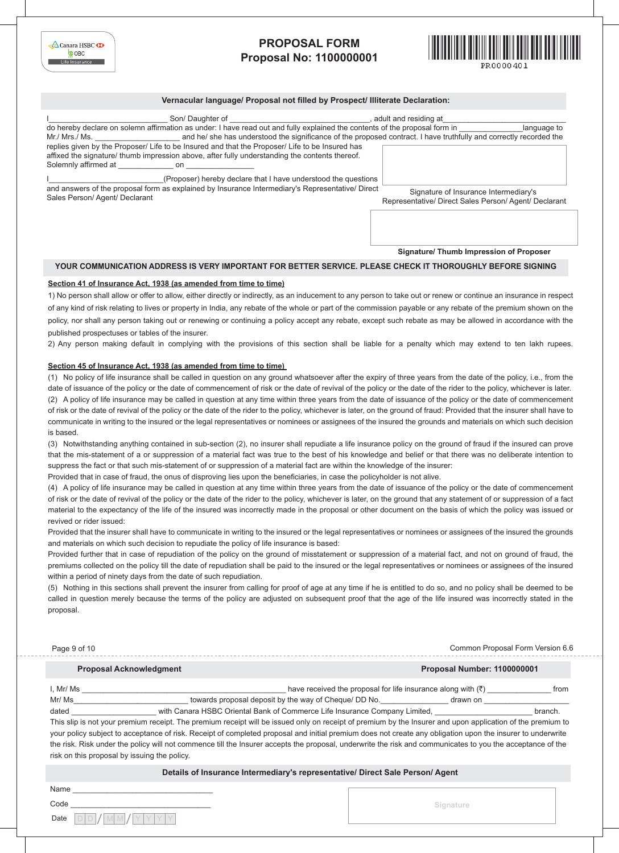

#### **Vernacular language/ Proposal not filled by Prospect/ Illiterate Declaration:**

| Son/Daughter of<br>do hereby declare on solemn affirmation as under: I have read out and fully explained the contents of the proposal form in                                                                                    | adult and residing at<br>language to                                                           |
|----------------------------------------------------------------------------------------------------------------------------------------------------------------------------------------------------------------------------------|------------------------------------------------------------------------------------------------|
| and he/ she has understood the significance of the proposed contract. I have truthfully and correctly recorded the<br>Mr./ Mrs./ Ms.                                                                                             |                                                                                                |
| replies given by the Proposer/ Life to be Insured and that the Proposer/ Life to be Insured has<br>affixed the signature/ thumb impression above, after fully understanding the contents thereof.<br>Solemnly affirmed at<br>on. |                                                                                                |
| (Proposer) hereby declare that I have understood the questions<br>and answers of the proposal form as explained by Insurance Intermediary's Representative/ Direct<br>Sales Person/Agent/Declarant                               | Signature of Insurance Intermediary's<br>Representative/ Direct Sales Person/ Agent/ Declarant |

**Signature/ Thumb Impression of Proposer**

#### **YOUR COMMUNICATION ADDRESS IS VERY IMPORTANT FOR BETTER SERVICE. PLEASE CHECK IT THOROUGHLY BEFORE SIGNING**

#### **Section 41 of Insurance Act, 1938 (as amended from time to time)**

1) No person shall allow or offer to allow, either directly or indirectly, as an inducement to any person to take out or renew or continue an insurance in respect of any kind of risk relating to lives or property in India, any rebate of the whole or part of the commission payable or any rebate of the premium shown on the policy, nor shall any person taking out or renewing or continuing a policy accept any rebate, except such rebate as may be allowed in accordance with the published prospectuses or tables of the insurer.

2) Any person making default in complying with the provisions of this section shall be liable for a penalty which may extend to ten lakh rupees.

#### **Section 45 of Insurance Act, 1938 (as amended from time to time)**

(1) No policy of life insurance shall be called in question on any ground whatsoever after the expiry of three years from the date of the policy, i.e., from the date of issuance of the policy or the date of commencement of risk or the date of revival of the policy or the date of the rider to the policy, whichever is later. (2) A policy of life insurance may be called in question at any time within three years from the date of issuance of the policy or the date of commencement of risk or the date of revival of the policy or the date of the rider to the policy, whichever is later, on the ground of fraud: Provided that the insurer shall have to communicate in writing to the insured or the legal representatives or nominees or assignees of the insured the grounds and materials on which such decision is based.

(3) Notwithstanding anything contained in sub-section (2), no insurer shall repudiate a life insurance policy on the ground of fraud if the insured can prove that the mis-statement of a or suppression of a material fact was true to the best of his knowledge and belief or that there was no deliberate intention to suppress the fact or that such mis-statement of or suppression of a material fact are within the knowledge of the insurer:

Provided that in case of fraud, the onus of disproving lies upon the beneficiaries, in case the policyholder is not alive.

(4) A policy of life insurance may be called in question at any time within three years from the date of issuance of the policy or the date of commencement of risk or the date of revival of the policy or the date of the rider to the policy, whichever is later, on the ground that any statement of or suppression of a fact material to the expectancy of the life of the insured was incorrectly made in the proposal or other document on the basis of which the policy was issued or revived or rider issued:

Provided that the insurer shall have to communicate in writing to the insured or the legal representatives or nominees or assignees of the insured the grounds and materials on which such decision to repudiate the policy of life insurance is based:

Provided further that in case of repudiation of the policy on the ground of misstatement or suppression of a material fact, and not on ground of fraud, the premiums collected on the policy till the date of repudiation shall be paid to the insured or the legal representatives or nominees or assignees of the insured within a period of ninety days from the date of such repudiation.

(5) Nothing in this sections shall prevent the insurer from calling for proof of age at any time if he is entitled to do so, and no policy shall be deemed to be called in question merely because the terms of the policy are adjusted on subsequent proof that the age of the life insured was incorrectly stated in the proposal.

| Page 9 of 10                   | Common Proposal Form Version 6.6                                                                                                                           |         |
|--------------------------------|------------------------------------------------------------------------------------------------------------------------------------------------------------|---------|
| <b>Proposal Acknowledgment</b> | <b>Proposal Number: 1100000001</b>                                                                                                                         |         |
| I, Mr/ Ms                      | have received the proposal for life insurance along with $(\bar{\zeta})$                                                                                   | from    |
| Mr/ Ms                         | towards proposal deposit by the way of Cheque/ DD No.<br>drawn on                                                                                          |         |
| dated                          | with Canara HSBC Oriental Bank of Commerce Life Insurance Company Limited,                                                                                 | branch. |
|                                | This slip is not your premium receipt. The premium receipt will be issued only on receipt of premium by the Insurer and upon application of the premium to |         |
|                                | your policy subject to acceptance of risk. Receipt of completed proposal and initial premium does not create any obligation upon the insurer to underwrite |         |
|                                |                                                                                                                                                            |         |

the risk. Risk under the policy will not commence till the Insurer accepts the proposal, underwrite the risk and communicates to you the acceptance of the risk on this proposal by issuing the policy.

### **Details of Insurance Intermediary's representative/ Direct Sale Person/ Agent**

| Name |                      |  |
|------|----------------------|--|
| Code |                      |  |
|      | Date $D D / M M / Y$ |  |

**Signature**